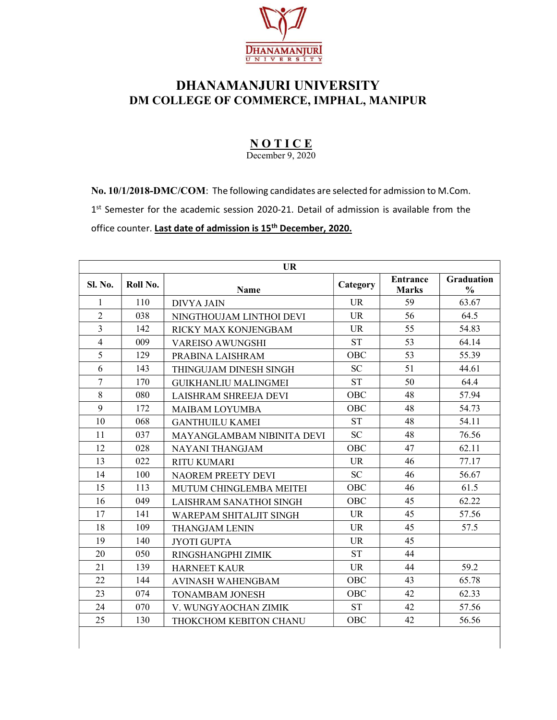

## DHANAMANJURI UNIVERSITY DM COLLEGE OF COMMERCE, IMPHAL, MANIPUR

## **NOTICE**

December 9, 2020

No. 10/1/2018-DMC/COM: The following candidates are selected for admission to M.Com.

1<sup>st</sup> Semester for the academic session 2020-21. Detail of admission is available from the

office counter. Last date of admission is 15<sup>th</sup> December, 2020.

| <b>UR</b>      |          |                                   |            |                                 |                                    |  |
|----------------|----------|-----------------------------------|------------|---------------------------------|------------------------------------|--|
| <b>Sl. No.</b> | Roll No. | <b>Name</b>                       | Category   | <b>Entrance</b><br><b>Marks</b> | <b>Graduation</b><br>$\frac{0}{0}$ |  |
| 1              | 110      | <b>DIVYA JAIN</b>                 | <b>UR</b>  | 59                              | 63.67                              |  |
| $\overline{2}$ | 038      | NINGTHOUJAM LINTHOI DEVI          | <b>UR</b>  | 56                              | 64.5                               |  |
| $\overline{3}$ | 142      | RICKY MAX KONJENGBAM              | <b>UR</b>  | 55                              | 54.83                              |  |
| $\overline{4}$ | 009      | <b>VAREISO AWUNGSHI</b>           | <b>ST</b>  | 53                              | 64.14                              |  |
| 5              | 129      | PRABINA LAISHRAM                  | OBC        | 53                              | 55.39                              |  |
| 6              | 143      | THINGUJAM DINESH SINGH            | <b>SC</b>  | 51                              | 44.61                              |  |
| $\overline{7}$ | 170      | <b>GUIKHANLIU MALINGMEI</b>       | <b>ST</b>  | 50                              | 64.4                               |  |
| 8              | 080      | LAISHRAM SHREEJA DEVI             | <b>OBC</b> | 48                              | 57.94                              |  |
| 9              | 172      | <b>MAIBAM LOYUMBA</b>             | OBC        | 48                              | 54.73                              |  |
| 10             | 068      | <b>GANTHUILU KAMEI</b>            | <b>ST</b>  | 48                              | 54.11                              |  |
| 11             | 037      | <b>MAYANGLAMBAM NIBINITA DEVI</b> | <b>SC</b>  | 48                              | 76.56                              |  |
| 12             | 028      | NAYANI THANGJAM                   | OBC        | 47                              | 62.11                              |  |
| 13             | 022      | <b>RITU KUMARI</b>                | <b>UR</b>  | 46                              | 77.17                              |  |
| 14             | 100      | <b>NAOREM PREETY DEVI</b>         | <b>SC</b>  | 46                              | 56.67                              |  |
| 15             | 113      | MUTUM CHINGLEMBA MEITEI           | OBC        | 46                              | 61.5                               |  |
| 16             | 049      | LAISHRAM SANATHOI SINGH           | <b>OBC</b> | 45                              | 62.22                              |  |
| 17             | 141      | <b>WAREPAM SHITALJIT SINGH</b>    | <b>UR</b>  | 45                              | 57.56                              |  |
| 18             | 109      | <b>THANGJAM LENIN</b>             | <b>UR</b>  | 45                              | 57.5                               |  |
| 19             | 140      | <b>JYOTI GUPTA</b>                | <b>UR</b>  | 45                              |                                    |  |
| 20             | 050      | RINGSHANGPHI ZIMIK                | <b>ST</b>  | 44                              |                                    |  |
| 21             | 139      | <b>HARNEET KAUR</b>               | <b>UR</b>  | 44                              | 59.2                               |  |
| 22             | 144      | <b>AVINASH WAHENGBAM</b>          | OBC        | 43                              | 65.78                              |  |
| 23             | 074      | <b>TONAMBAM JONESH</b>            | <b>OBC</b> | 42                              | 62.33                              |  |
| 24             | 070      | V. WUNGYAOCHAN ZIMIK              | <b>ST</b>  | 42                              | 57.56                              |  |
| 25             | 130      | THOKCHOM KEBITON CHANU            | OBC        | 42                              | 56.56                              |  |
|                |          |                                   |            |                                 |                                    |  |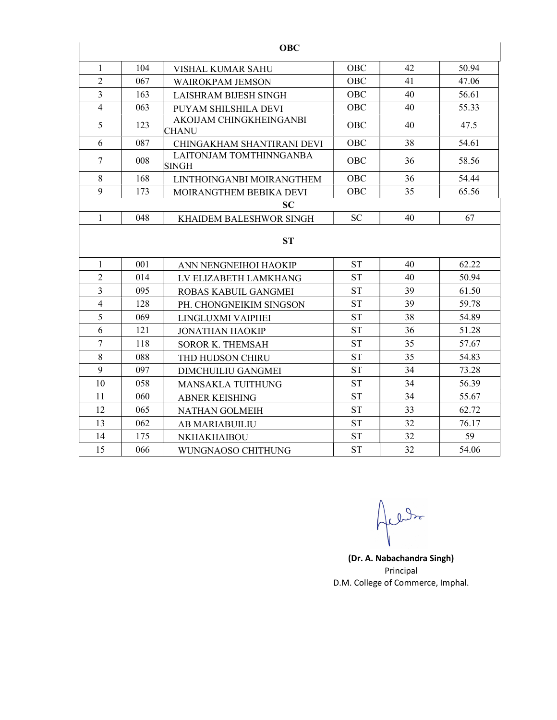|                |     | <b>OBC</b>                              |            |    |       |
|----------------|-----|-----------------------------------------|------------|----|-------|
| 1              | 104 | VISHAL KUMAR SAHU                       | <b>OBC</b> | 42 | 50.94 |
| $\overline{2}$ | 067 | <b>WAIROKPAM JEMSON</b>                 | <b>OBC</b> | 41 | 47.06 |
| 3              | 163 | LAISHRAM BIJESH SINGH                   | <b>OBC</b> | 40 | 56.61 |
| $\overline{4}$ | 063 | PUYAM SHILSHILA DEVI                    | <b>OBC</b> | 40 | 55.33 |
| 5              | 123 | AKOIJAM CHINGKHEINGANBI<br>CHANU        | <b>OBC</b> | 40 | 47.5  |
| 6              | 087 | CHINGAKHAM SHANTIRANI DEVI              | <b>OBC</b> | 38 | 54.61 |
| $\overline{7}$ | 008 | LAITONJAM TOMTHINNGANBA<br><b>SINGH</b> | <b>OBC</b> | 36 | 58.56 |
| 8              | 168 | LINTHOINGANBI MOIRANGTHEM               | <b>OBC</b> | 36 | 54.44 |
| 9              | 173 | MOIRANGTHEM BEBIKA DEVI                 | OBC        | 35 | 65.56 |
|                |     | <b>SC</b>                               |            |    |       |
| 1              | 048 | <b>KHAIDEM BALESHWOR SINGH</b>          | <b>SC</b>  | 40 | 67    |
|                |     | <b>ST</b>                               |            |    |       |
| 1              | 001 | ANN NENGNEIHOI HAOKIP                   | <b>ST</b>  | 40 | 62.22 |
| $\overline{2}$ | 014 | LV ELIZABETH LAMKHANG                   | <b>ST</b>  | 40 | 50.94 |
| $\overline{3}$ | 095 | ROBAS KABUIL GANGMEI                    | <b>ST</b>  | 39 | 61.50 |
| $\overline{4}$ | 128 | PH. CHONGNEIKIM SINGSON                 | <b>ST</b>  | 39 | 59.78 |
| 5              | 069 | LINGLUXMI VAIPHEI                       | <b>ST</b>  | 38 | 54.89 |
| 6              | 121 | <b>JONATHAN HAOKIP</b>                  | <b>ST</b>  | 36 | 51.28 |
| $\overline{7}$ | 118 | <b>SOROR K. THEMSAH</b>                 | <b>ST</b>  | 35 | 57.67 |
| 8              | 088 | THD HUDSON CHIRU                        | <b>ST</b>  | 35 | 54.83 |
| 9              | 097 | <b>DIMCHUILIU GANGMEI</b>               | <b>ST</b>  | 34 | 73.28 |
| 10             | 058 | <b>MANSAKLA TUITHUNG</b>                | <b>ST</b>  | 34 | 56.39 |
| 11             | 060 | <b>ABNER KEISHING</b>                   | <b>ST</b>  | 34 | 55.67 |
| 12             | 065 | <b>NATHAN GOLMEIH</b>                   | <b>ST</b>  | 33 | 62.72 |
| 13             | 062 | AB MARIABUILIU                          | <b>ST</b>  | 32 | 76.17 |
| 14             | 175 | NKHAKHAIBOU                             | <b>ST</b>  | 32 | 59    |
| 15             | 066 | WUNGNAOSO CHITHUNG                      | <b>ST</b>  | 32 | 54.06 |

rle

(Dr. A. Nabachandra Singh) Principal D.M. College of Commerce, Imphal.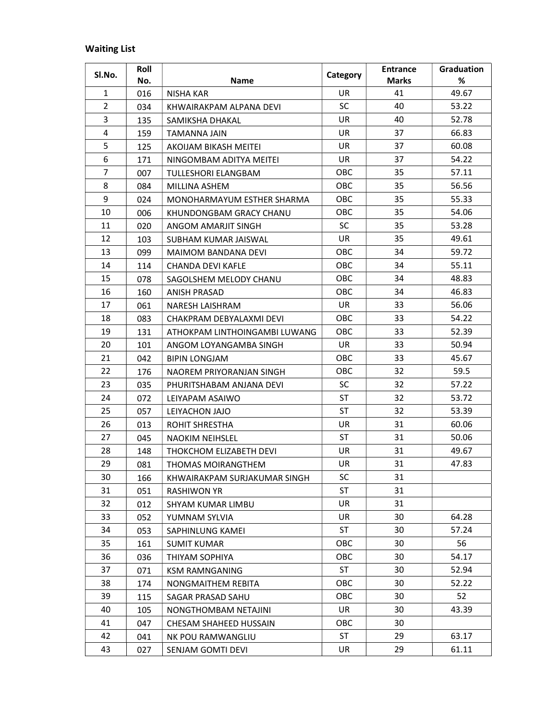## Waiting List

| SI.No.         | Roll |                               | Category   | <b>Entrance</b> | Graduation |
|----------------|------|-------------------------------|------------|-----------------|------------|
|                | No.  | <b>Name</b>                   |            | <b>Marks</b>    | %          |
| $\mathbf{1}$   | 016  | <b>NISHA KAR</b>              | <b>UR</b>  | 41              | 49.67      |
| $\overline{2}$ | 034  | KHWAIRAKPAM ALPANA DEVI       | SC         | 40              | 53.22      |
| 3              | 135  | SAMIKSHA DHAKAL               | <b>UR</b>  | 40              | 52.78      |
| 4              | 159  | TAMANNA JAIN                  | <b>UR</b>  | 37              | 66.83      |
| 5              | 125  | AKOIJAM BIKASH MEITEI         | UR         | 37              | 60.08      |
| 6              | 171  | NINGOMBAM ADITYA MEITEI       | UR.        | 37              | 54.22      |
| $\overline{7}$ | 007  | TULLESHORI ELANGBAM           | OBC        | 35              | 57.11      |
| 8              | 084  | MILLINA ASHEM                 | OBC        | 35              | 56.56      |
| 9              | 024  | MONOHARMAYUM ESTHER SHARMA    | OBC        | 35              | 55.33      |
| 10             | 006  | KHUNDONGBAM GRACY CHANU       | OBC        | 35              | 54.06      |
| 11             | 020  | ANGOM AMARJIT SINGH           | <b>SC</b>  | 35              | 53.28      |
| 12             | 103  | SUBHAM KUMAR JAISWAL          | UR         | 35              | 49.61      |
| 13             | 099  | MAIMOM BANDANA DEVI           | OBC        | 34              | 59.72      |
| 14             | 114  | CHANDA DEVI KAFLE             | <b>OBC</b> | 34              | 55.11      |
| 15             | 078  | SAGOLSHEM MELODY CHANU        | OBC        | 34              | 48.83      |
| 16             | 160  | <b>ANISH PRASAD</b>           | OBC        | 34              | 46.83      |
| 17             | 061  | <b>NARESH LAISHRAM</b>        | UR.        | 33              | 56.06      |
| 18             | 083  | CHAKPRAM DEBYALAXMI DEVI      | <b>OBC</b> | 33              | 54.22      |
| 19             | 131  | ATHOKPAM LINTHOINGAMBI LUWANG | OBC        | 33              | 52.39      |
| 20             | 101  | ANGOM LOYANGAMBA SINGH        | UR         | 33              | 50.94      |
| 21             | 042  | <b>BIPIN LONGJAM</b>          | <b>OBC</b> | 33              | 45.67      |
| 22             | 176  | NAOREM PRIYORANJAN SINGH      | OBC        | 32              | 59.5       |
| 23             | 035  | PHURITSHABAM ANJANA DEVI      | SC         | 32              | 57.22      |
| 24             | 072  | LEIYAPAM ASAIWO               | <b>ST</b>  | 32              | 53.72      |
| 25             | 057  | LEIYACHON JAJO                | <b>ST</b>  | 32              | 53.39      |
| 26             | 013  | <b>ROHIT SHRESTHA</b>         | UR         | 31              | 60.06      |
| 27             | 045  | <b>NAOKIM NEIHSLEL</b>        | <b>ST</b>  | 31              | 50.06      |
| 28             | 148  | THOKCHOM ELIZABETH DEVI       | UR.        | 31              | 49.67      |
| 29             | 081  | <b>THOMAS MOIRANGTHEM</b>     | UR.        | 31              | 47.83      |
| 30             | 166  | KHWAIRAKPAM SURJAKUMAR SINGH  | SC         | 31              |            |
| 31             | 051  | <b>RASHIWON YR</b>            | <b>ST</b>  | 31              |            |
| 32             | 012  | SHYAM KUMAR LIMBU             | UR.        | 31              |            |
| 33             | 052  | YUMNAM SYLVIA                 | UR         | 30              | 64.28      |
| 34             | 053  | SAPHINLUNG KAMEI              | <b>ST</b>  | 30              | 57.24      |
| 35             | 161  | <b>SUMIT KUMAR</b>            | OBC        | 30              | 56         |
| 36             | 036  | THIYAM SOPHIYA                | OBC        | 30              | 54.17      |
| 37             | 071  | <b>KSM RAMNGANING</b>         | <b>ST</b>  | 30              | 52.94      |
| 38             | 174  | NONGMAITHEM REBITA            | OBC        | 30              | 52.22      |
| 39             | 115  | SAGAR PRASAD SAHU             | OBC        | 30              | 52         |
| 40             | 105  | NONGTHOMBAM NETAJINI          | UR.        | 30              | 43.39      |
| 41             | 047  | CHESAM SHAHEED HUSSAIN        | OBC        | 30              |            |
| 42             | 041  | NK POU RAMWANGLIU             | <b>ST</b>  | 29              | 63.17      |
| 43             | 027  | SENJAM GOMTI DEVI             | UR         | 29              | 61.11      |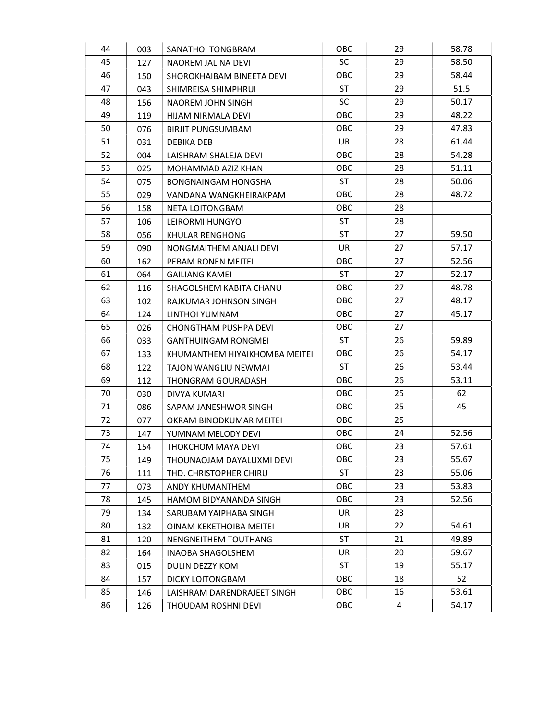| 44 | 003 | SANATHOI TONGBRAM             | OBC        | 29 | 58.78 |
|----|-----|-------------------------------|------------|----|-------|
| 45 | 127 | NAOREM JALINA DEVI            | SC         | 29 | 58.50 |
| 46 | 150 | SHOROKHAIBAM BINEETA DEVI     | OBC        | 29 | 58.44 |
| 47 | 043 | SHIMREISA SHIMPHRUI           | <b>ST</b>  | 29 | 51.5  |
| 48 | 156 | NAOREM JOHN SINGH             | SC         | 29 | 50.17 |
| 49 | 119 | HIJAM NIRMALA DEVI            | OBC        | 29 | 48.22 |
| 50 | 076 | <b>BIRJIT PUNGSUMBAM</b>      | OBC        | 29 | 47.83 |
| 51 | 031 | <b>DEBIKA DEB</b>             | <b>UR</b>  | 28 | 61.44 |
| 52 | 004 | LAISHRAM SHALEJA DEVI         | OBC        | 28 | 54.28 |
| 53 | 025 | MOHAMMAD AZIZ KHAN            | OBC        | 28 | 51.11 |
| 54 | 075 | <b>BONGNAINGAM HONGSHA</b>    | <b>ST</b>  | 28 | 50.06 |
| 55 | 029 | VANDANA WANGKHEIRAKPAM        | OBC        | 28 | 48.72 |
| 56 | 158 | NETA LOITONGBAM               | OBC        | 28 |       |
| 57 | 106 | LEIRORMI HUNGYO               | <b>ST</b>  | 28 |       |
| 58 | 056 | KHULAR RENGHONG               | <b>ST</b>  | 27 | 59.50 |
| 59 | 090 | NONGMAITHEM ANJALI DEVI       | <b>UR</b>  | 27 | 57.17 |
| 60 | 162 | PEBAM RONEN MEITEI            | OBC        | 27 | 52.56 |
| 61 | 064 | <b>GAILIANG KAMEI</b>         | <b>ST</b>  | 27 | 52.17 |
| 62 | 116 | SHAGOLSHEM KABITA CHANU       | OBC        | 27 | 48.78 |
| 63 | 102 | RAJKUMAR JOHNSON SINGH        | OBC        | 27 | 48.17 |
| 64 | 124 | LINTHOI YUMNAM                | <b>OBC</b> | 27 | 45.17 |
| 65 | 026 | CHONGTHAM PUSHPA DEVI         | OBC        | 27 |       |
| 66 | 033 | <b>GANTHUINGAM RONGMEI</b>    | <b>ST</b>  | 26 | 59.89 |
| 67 | 133 | KHUMANTHEM HIYAIKHOMBA MEITEI | OBC        | 26 | 54.17 |
| 68 | 122 | TAJON WANGLIU NEWMAI          | <b>ST</b>  | 26 | 53.44 |
| 69 | 112 | THONGRAM GOURADASH            | OBC        | 26 | 53.11 |
| 70 | 030 | <b>DIVYA KUMARI</b>           | OBC        | 25 | 62    |
| 71 | 086 | SAPAM JANESHWOR SINGH         | <b>OBC</b> | 25 | 45    |
| 72 | 077 | OKRAM BINODKUMAR MEITEI       | OBC        | 25 |       |
| 73 | 147 | YUMNAM MELODY DEVI            | OBC        | 24 | 52.56 |
| 74 | 154 | THOKCHOM MAYA DEVI            | OBC        | 23 | 57.61 |
| 75 | 149 | THOUNAOJAM DAYALUXMI DEVI     | <b>OBC</b> | 23 | 55.67 |
| 76 | 111 | THD. CHRISTOPHER CHIRU        | <b>ST</b>  | 23 | 55.06 |
| 77 | 073 | ANDY KHUMANTHEM               | OBC        | 23 | 53.83 |
| 78 | 145 | HAMOM BIDYANANDA SINGH        | <b>OBC</b> | 23 | 52.56 |
| 79 | 134 | SARUBAM YAIPHABA SINGH        | UR         | 23 |       |
| 80 | 132 | OINAM KEKETHOIBA MEITEI       | UR.        | 22 | 54.61 |
| 81 | 120 | NENGNEITHEM TOUTHANG          | <b>ST</b>  | 21 | 49.89 |
| 82 | 164 | <b>INAOBA SHAGOLSHEM</b>      | UR         | 20 | 59.67 |
| 83 | 015 | DULIN DEZZY KOM               | <b>ST</b>  | 19 | 55.17 |
| 84 | 157 | <b>DICKY LOITONGBAM</b>       | OBC        | 18 | 52    |
| 85 | 146 | LAISHRAM DARENDRAJEET SINGH   | <b>OBC</b> | 16 | 53.61 |
| 86 | 126 | THOUDAM ROSHNI DEVI           | OBC        | 4  | 54.17 |